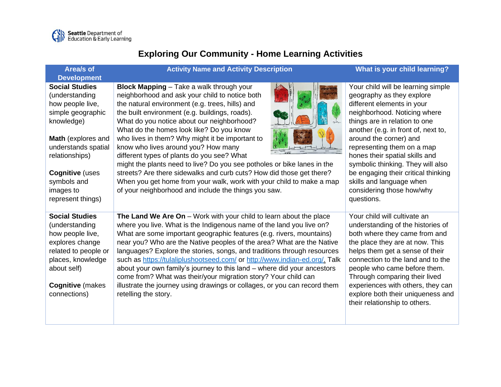

## **Exploring Our Community - Home Learning Activities**

| Area/s of<br><b>Development</b>                                                                                                                                                                                                          | <b>Activity Name and Activity Description</b>                                                                                                                                                                                                                                                                                                                                                                                                                                                                                                                                                                                                                                                                               | What is your child learning?                                                                                                                                                                                                                                                                                                                                                                                                                       |
|------------------------------------------------------------------------------------------------------------------------------------------------------------------------------------------------------------------------------------------|-----------------------------------------------------------------------------------------------------------------------------------------------------------------------------------------------------------------------------------------------------------------------------------------------------------------------------------------------------------------------------------------------------------------------------------------------------------------------------------------------------------------------------------------------------------------------------------------------------------------------------------------------------------------------------------------------------------------------------|----------------------------------------------------------------------------------------------------------------------------------------------------------------------------------------------------------------------------------------------------------------------------------------------------------------------------------------------------------------------------------------------------------------------------------------------------|
| <b>Social Studies</b><br>(understanding<br>how people live,<br>simple geographic<br>knowledge)<br>Math (explores and<br>understands spatial<br>relationships)<br><b>Cognitive (uses</b><br>symbols and<br>images to<br>represent things) | <b>Block Mapping</b> - Take a walk through your<br>neighborhood and ask your child to notice both<br>the natural environment (e.g. trees, hills) and<br>the built environment (e.g. buildings, roads).<br>What do you notice about our neighborhood?<br>What do the homes look like? Do you know<br>who lives in them? Why might it be important to<br>know who lives around you? How many<br>different types of plants do you see? What<br>might the plants need to live? Do you see potholes or bike lanes in the<br>streets? Are there sidewalks and curb cuts? How did those get there?<br>When you get home from your walk, work with your child to make a map<br>of your neighborhood and include the things you saw. | Your child will be learning simple<br>geography as they explore<br>different elements in your<br>neighborhood. Noticing where<br>things are in relation to one<br>another (e.g. in front of, next to,<br>around the corner) and<br>representing them on a map<br>hones their spatial skills and<br>symbolic thinking. They will also<br>be engaging their critical thinking<br>skills and language when<br>considering those how/why<br>questions. |
| <b>Social Studies</b><br>(understanding<br>how people live,<br>explores change<br>related to people or<br>places, knowledge<br>about self)<br><b>Cognitive (makes</b><br>connections)                                                    | The Land We Are On - Work with your child to learn about the place<br>where you live. What is the Indigenous name of the land you live on?<br>What are some important geographic features (e.g. rivers, mountains)<br>near you? Who are the Native peoples of the area? What are the Native<br>languages? Explore the stories, songs, and traditions through resources<br>such as https://tulaliplushootseed.com/ or http://www.indian-ed.org/. Talk<br>about your own family's journey to this land - where did your ancestors<br>come from? What was their/your migration story? Your child can<br>illustrate the journey using drawings or collages, or you can record them<br>retelling the story.                      | Your child will cultivate an<br>understanding of the histories of<br>both where they came from and<br>the place they are at now. This<br>helps them get a sense of their<br>connection to the land and to the<br>people who came before them.<br>Through comparing their lived<br>experiences with others, they can<br>explore both their uniqueness and<br>their relationship to others.                                                          |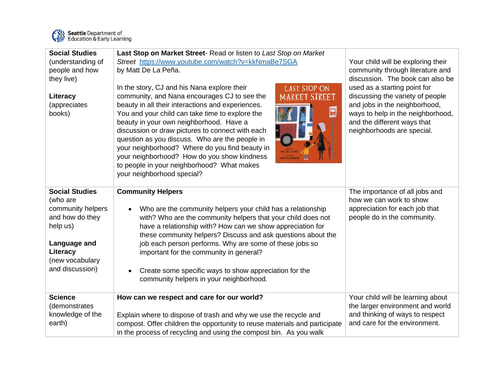

Seattle Department of<br>
Education & Early Learning

| <b>Social Studies</b><br>(understanding of<br>people and how<br>they live)<br>Literacy<br>(appreciates<br>books)                                        | Last Stop on Market Street- Read or listen to Last Stop on Market<br>Street https://www.youtube.com/watch?v=kkNmaBe7SGA<br>by Matt De La Peña.<br>In the story, CJ and his Nana explore their<br><b>LAST STOP ON</b><br>community, and Nana encourages CJ to see the<br><b>REFT</b><br>beauty in all their interactions and experiences.<br>目<br>You and your child can take time to explore the<br>beauty in your own neighborhood. Have a<br>discussion or draw pictures to connect with each<br>question as you discuss. Who are the people in<br>your neighborhood? Where do you find beauty in<br>your neighborhood? How do you show kindness<br>to people in your neighborhood? What makes<br>your neighborhood special? | Your child will be exploring their<br>community through literature and<br>discussion. The book can also be<br>used as a starting point for<br>discussing the variety of people<br>and jobs in the neighborhood,<br>ways to help in the neighborhood,<br>and the different ways that<br>neighborhoods are special. |
|---------------------------------------------------------------------------------------------------------------------------------------------------------|--------------------------------------------------------------------------------------------------------------------------------------------------------------------------------------------------------------------------------------------------------------------------------------------------------------------------------------------------------------------------------------------------------------------------------------------------------------------------------------------------------------------------------------------------------------------------------------------------------------------------------------------------------------------------------------------------------------------------------|-------------------------------------------------------------------------------------------------------------------------------------------------------------------------------------------------------------------------------------------------------------------------------------------------------------------|
| <b>Social Studies</b><br>(who are<br>community helpers<br>and how do they<br>help us)<br>Language and<br>Literacy<br>(new vocabulary<br>and discussion) | <b>Community Helpers</b><br>Who are the community helpers your child has a relationship<br>with? Who are the community helpers that your child does not<br>have a relationship with? How can we show appreciation for<br>these community helpers? Discuss and ask questions about the<br>job each person performs. Why are some of these jobs so<br>important for the community in general?<br>Create some specific ways to show appreciation for the<br>community helpers in your neighborhood.                                                                                                                                                                                                                               | The importance of all jobs and<br>how we can work to show<br>appreciation for each job that<br>people do in the community.                                                                                                                                                                                        |
| <b>Science</b><br>(demonstrates<br>knowledge of the<br>earth)                                                                                           | How can we respect and care for our world?<br>Explain where to dispose of trash and why we use the recycle and<br>compost. Offer children the opportunity to reuse materials and participate<br>in the process of recycling and using the compost bin. As you walk                                                                                                                                                                                                                                                                                                                                                                                                                                                             | Your child will be learning about<br>the larger environment and world<br>and thinking of ways to respect<br>and care for the environment.                                                                                                                                                                         |